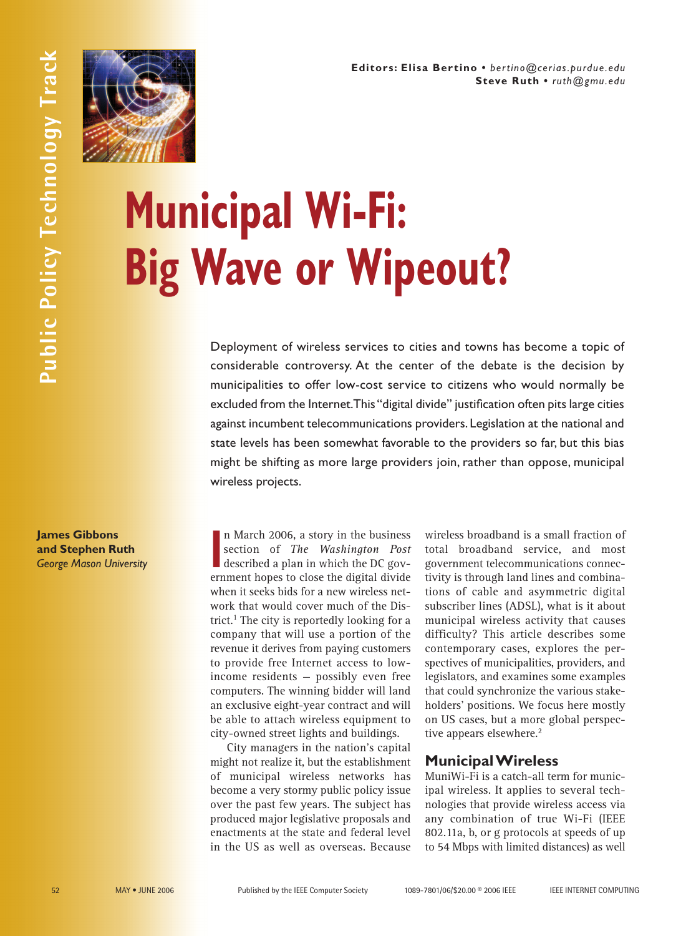

# **Municipal Wi-Fi: Big Wave or Wipeout?**

Deployment of wireless services to cities and towns has become a topic of considerable controversy. At the center of the debate is the decision by municipalities to offer low-cost service to citizens who would normally be excluded from the Internet.This "digital divide" justification often pits large cities against incumbent telecommunications providers.Legislation at the national and state levels has been somewhat favorable to the providers so far, but this bias might be shifting as more large providers join, rather than oppose, municipal wireless projects. Editory: Elita Bereitas computer Society 1089-7801/06/2006 Published by the IEEE Computer Society 1089-7802<br> **BIG Wave** of Wipe out the IEEE Computer Society 1089-7802<br>
Considerable computer Society 1089-7802<br>
considerabl

**James Gibbons and Stephen Ruth** *George Mason University*

II March 2006, a story in the business<br>section of *The Washington Post*<br>described a plan in which the DC govn March 2006, a story in the business section of *The Washington Post* ernment hopes to close the digital divide when it seeks bids for a new wireless network that would cover much of the District.<sup>1</sup> The city is reportedly looking for a company that will use a portion of the revenue it derives from paying customers to provide free Internet access to lowincome residents — possibly even free computers. The winning bidder will land an exclusive eight-year contract and will be able to attach wireless equipment to city-owned street lights and buildings.

City managers in the nation's capital might not realize it, but the establishment of municipal wireless networks has become a very stormy public policy issue over the past few years. The subject has produced major legislative proposals and enactments at the state and federal level in the US as well as overseas. Because wireless broadband is a small fraction of total broadband service, and most government telecommunications connectivity is through land lines and combinations of cable and asymmetric digital subscriber lines (ADSL), what is it about municipal wireless activity that causes difficulty? This article describes some contemporary cases, explores the perspectives of municipalities, providers, and legislators, and examines some examples that could synchronize the various stakeholders' positions. We focus here mostly on US cases, but a more global perspective appears elsewhere.<sup>2</sup>

### **Municipal Wireless**

MuniWi-Fi is a catch-all term for municipal wireless. It applies to several technologies that provide wireless access via any combination of true Wi-Fi (IEEE 802.11a, b, or g protocols at speeds of up to 54 Mbps with limited distances) as well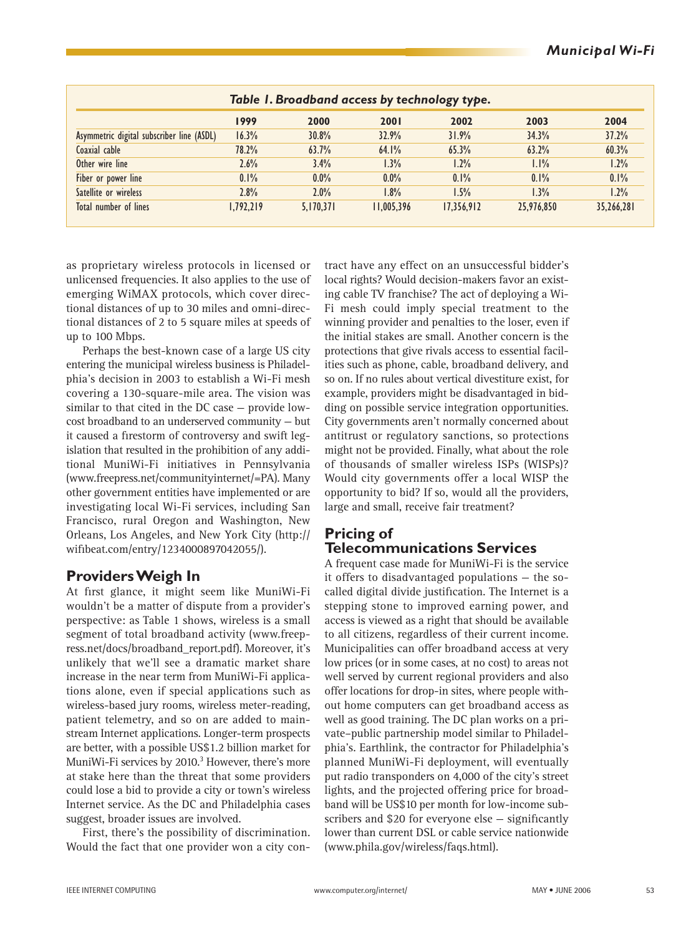| Table 1. Broadband access by technology type. |           |           |            |            |            |            |
|-----------------------------------------------|-----------|-----------|------------|------------|------------|------------|
|                                               | 1999      | 2000      | 2001       | 2002       | 2003       | 2004       |
| Asymmetric digital subscriber line (ASDL)     | 16.3%     | 30.8%     | 32.9%      | 31.9%      | 34.3%      | 37.2%      |
| Coaxial cable                                 | 78.2%     | 63.7%     | 64.1%      | 65.3%      | 63.2%      | 60.3%      |
| Other wire line                               | 2.6%      | 3.4%      | 1.3%       | 1.2%       | 1.1%       | 1.2%       |
| Fiber or power line                           | 0.1%      | 0.0%      | 0.0%       | 0.1%       | 0.1%       | 0.1%       |
| Satellite or wireless                         | 2.8%      | 2.0%      | .8%        | 1.5%       | 1.3%       | 1.2%       |
| Total number of lines                         | 1,792,219 | 5,170,371 | 11,005,396 | 17,356,912 | 25,976,850 | 35,266,281 |

as proprietary wireless protocols in licensed or unlicensed frequencies. It also applies to the use of emerging WiMAX protocols, which cover directional distances of up to 30 miles and omni-directional distances of 2 to 5 square miles at speeds of up to 100 Mbps.

Perhaps the best-known case of a large US city entering the municipal wireless business is Philadelphia's decision in 2003 to establish a Wi-Fi mesh covering a 130-square-mile area. The vision was similar to that cited in the DC case — provide lowcost broadband to an underserved community — but it caused a firestorm of controversy and swift legislation that resulted in the prohibition of any additional MuniWi-Fi initiatives in Pennsylvania (www.freepress.net/communityinternet/=PA). Many other government entities have implemented or are investigating local Wi-Fi services, including San Francisco, rural Oregon and Washington, New Orleans, Los Angeles, and New York City (http:// wifibeat.com/entry/1234000897042055/).

### **Providers Weigh In**

At first glance, it might seem like MuniWi-Fi wouldn't be a matter of dispute from a provider's perspective: as Table 1 shows, wireless is a small segment of total broadband activity (www.freepress.net/docs/broadband\_report.pdf). Moreover, it's unlikely that we'll see a dramatic market share increase in the near term from MuniWi-Fi applications alone, even if special applications such as wireless-based jury rooms, wireless meter-reading, patient telemetry, and so on are added to mainstream Internet applications. Longer-term prospects are better, with a possible US\$1.2 billion market for MuniWi-Fi services by 2010.<sup>3</sup> However, there's more at stake here than the threat that some providers could lose a bid to provide a city or town's wireless Internet service. As the DC and Philadelphia cases suggest, broader issues are involved.

First, there's the possibility of discrimination. Would the fact that one provider won a city con-

tract have any effect on an unsuccessful bidder's local rights? Would decision-makers favor an existing cable TV franchise? The act of deploying a Wi-Fi mesh could imply special treatment to the winning provider and penalties to the loser, even if the initial stakes are small. Another concern is the protections that give rivals access to essential facilities such as phone, cable, broadband delivery, and so on. If no rules about vertical divestiture exist, for example, providers might be disadvantaged in bidding on possible service integration opportunities. City governments aren't normally concerned about antitrust or regulatory sanctions, so protections might not be provided. Finally, what about the role of thousands of smaller wireless ISPs (WISPs)? Would city governments offer a local WISP the opportunity to bid? If so, would all the providers, large and small, receive fair treatment?

#### **Pricing of Telecommunications Services**

A frequent case made for MuniWi-Fi is the service it offers to disadvantaged populations — the socalled digital divide justification. The Internet is a stepping stone to improved earning power, and access is viewed as a right that should be available to all citizens, regardless of their current income. Municipalities can offer broadband access at very low prices (or in some cases, at no cost) to areas not well served by current regional providers and also offer locations for drop-in sites, where people without home computers can get broadband access as well as good training. The DC plan works on a private–public partnership model similar to Philadelphia's. Earthlink, the contractor for Philadelphia's planned MuniWi-Fi deployment, will eventually put radio transponders on 4,000 of the city's street lights, and the projected offering price for broadband will be US\$10 per month for low-income subscribers and \$20 for everyone else — significantly lower than current DSL or cable service nationwide (www.phila.gov/wireless/faqs.html).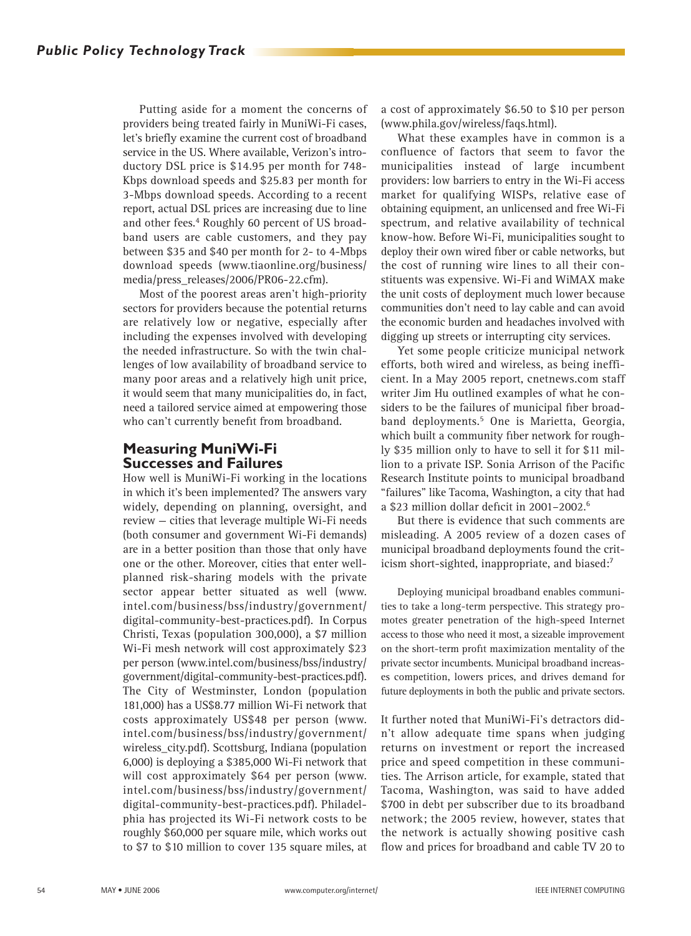Putting aside for a moment the concerns of providers being treated fairly in MuniWi-Fi cases, let's briefly examine the current cost of broadband service in the US. Where available, Verizon's introductory DSL price is \$14.95 per month for 748- Kbps download speeds and \$25.83 per month for 3-Mbps download speeds. According to a recent report, actual DSL prices are increasing due to line and other fees.<sup>4</sup> Roughly 60 percent of US broadband users are cable customers, and they pay between \$35 and \$40 per month for 2- to 4-Mbps download speeds (www.tiaonline.org/business/ media/press\_releases/2006/PR06-22.cfm).

Most of the poorest areas aren't high-priority sectors for providers because the potential returns are relatively low or negative, especially after including the expenses involved with developing the needed infrastructure. So with the twin challenges of low availability of broadband service to many poor areas and a relatively high unit price, it would seem that many municipalities do, in fact, need a tailored service aimed at empowering those who can't currently benefit from broadband.

## **Measuring MuniWi-Fi Successes and Failures**

How well is MuniWi-Fi working in the locations in which it's been implemented? The answers vary widely, depending on planning, oversight, and review — cities that leverage multiple Wi-Fi needs (both consumer and government Wi-Fi demands) are in a better position than those that only have one or the other. Moreover, cities that enter wellplanned risk-sharing models with the private sector appear better situated as well (www. intel.com/business/bss/industry/government/ digital-community-best-practices.pdf). In Corpus Christi, Texas (population 300,000), a \$7 million Wi-Fi mesh network will cost approximately \$23 per person (www.intel.com/business/bss/industry/ government/digital-community-best-practices.pdf). The City of Westminster, London (population 181,000) has a US\$8.77 million Wi-Fi network that costs approximately US\$48 per person (www. intel.com/business/bss/industry/government/ wireless\_city.pdf). Scottsburg, Indiana (population 6,000) is deploying a \$385,000 Wi-Fi network that will cost approximately \$64 per person (www. intel.com/business/bss/industry/government/ digital-community-best-practices.pdf). Philadelphia has projected its Wi-Fi network costs to be roughly \$60,000 per square mile, which works out to \$7 to \$10 million to cover 135 square miles, at

a cost of approximately \$6.50 to \$10 per person (www.phila.gov/wireless/faqs.html).

What these examples have in common is a confluence of factors that seem to favor the municipalities instead of large incumbent providers: low barriers to entry in the Wi-Fi access market for qualifying WISPs, relative ease of obtaining equipment, an unlicensed and free Wi-Fi spectrum, and relative availability of technical know-how. Before Wi-Fi, municipalities sought to deploy their own wired fiber or cable networks, but the cost of running wire lines to all their constituents was expensive. Wi-Fi and WiMAX make the unit costs of deployment much lower because communities don't need to lay cable and can avoid the economic burden and headaches involved with digging up streets or interrupting city services.

Yet some people criticize municipal network efforts, both wired and wireless, as being inefficient. In a May 2005 report, cnetnews.com staff writer Jim Hu outlined examples of what he considers to be the failures of municipal fiber broadband deployments.<sup>5</sup> One is Marietta, Georgia, which built a community fiber network for roughly \$35 million only to have to sell it for \$11 million to a private ISP. Sonia Arrison of the Pacific Research Institute points to municipal broadband "failures" like Tacoma, Washington, a city that had a \$23 million dollar deficit in 2001–2002.6

But there is evidence that such comments are misleading. A 2005 review of a dozen cases of municipal broadband deployments found the criticism short-sighted, inappropriate, and biased:7

Deploying municipal broadband enables communities to take a long-term perspective. This strategy promotes greater penetration of the high-speed Internet access to those who need it most, a sizeable improvement on the short-term profit maximization mentality of the private sector incumbents. Municipal broadband increases competition, lowers prices, and drives demand for future deployments in both the public and private sectors.

It further noted that MuniWi-Fi's detractors didn't allow adequate time spans when judging returns on investment or report the increased price and speed competition in these communities. The Arrison article, for example, stated that Tacoma, Washington, was said to have added \$700 in debt per subscriber due to its broadband network; the 2005 review, however, states that the network is actually showing positive cash flow and prices for broadband and cable TV 20 to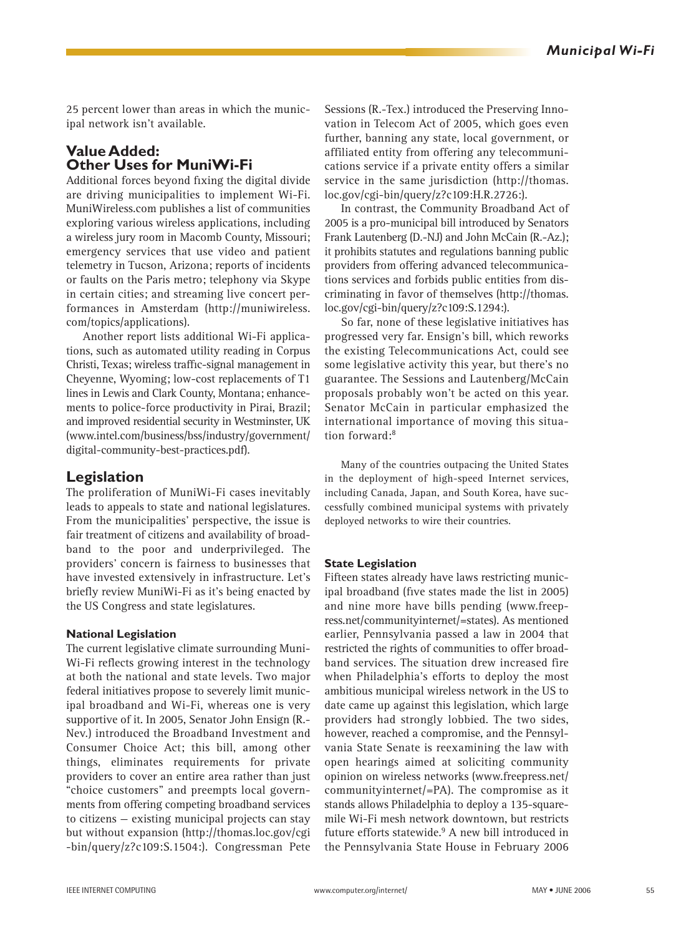25 percent lower than areas in which the municipal network isn't available.

## **Value Added: Other Uses for MuniWi-Fi**

Additional forces beyond fixing the digital divide are driving municipalities to implement Wi-Fi. MuniWireless.com publishes a list of communities exploring various wireless applications, including a wireless jury room in Macomb County, Missouri; emergency services that use video and patient telemetry in Tucson, Arizona; reports of incidents or faults on the Paris metro; telephony via Skype in certain cities; and streaming live concert performances in Amsterdam (http://muniwireless. com/topics/applications).

Another report lists additional Wi-Fi applications, such as automated utility reading in Corpus Christi, Texas; wireless traffic-signal management in Cheyenne, Wyoming; low-cost replacements of T1 lines in Lewis and Clark County, Montana; enhancements to police-force productivity in Pirai, Brazil; and improved residential security in Westminster, UK (www.intel.com/business/bss/industry/government/ digital-community-best-practices.pdf).

### **Legislation**

The proliferation of MuniWi-Fi cases inevitably leads to appeals to state and national legislatures. From the municipalities' perspective, the issue is fair treatment of citizens and availability of broadband to the poor and underprivileged. The providers' concern is fairness to businesses that have invested extensively in infrastructure. Let's briefly review MuniWi-Fi as it's being enacted by the US Congress and state legislatures.

#### **National Legislation**

The current legislative climate surrounding Muni-Wi-Fi reflects growing interest in the technology at both the national and state levels. Two major federal initiatives propose to severely limit municipal broadband and Wi-Fi, whereas one is very supportive of it. In 2005, Senator John Ensign (R.- Nev.) introduced the Broadband Investment and Consumer Choice Act; this bill, among other things, eliminates requirements for private providers to cover an entire area rather than just "choice customers" and preempts local governments from offering competing broadband services to citizens — existing municipal projects can stay but without expansion (http://thomas.loc.gov/cgi -bin/query/z?c109:S.1504:). Congressman Pete

Sessions (R.-Tex.) introduced the Preserving Innovation in Telecom Act of 2005, which goes even further, banning any state, local government, or affiliated entity from offering any telecommunications service if a private entity offers a similar service in the same jurisdiction (http://thomas. loc.gov/cgi-bin/query/z?c109:H.R.2726:).

In contrast, the Community Broadband Act of 2005 is a pro-municipal bill introduced by Senators Frank Lautenberg (D.-NJ) and John McCain (R.-Az.); it prohibits statutes and regulations banning public providers from offering advanced telecommunications services and forbids public entities from discriminating in favor of themselves (http://thomas. loc.gov/cgi-bin/query/z?c109:S.1294:).

So far, none of these legislative initiatives has progressed very far. Ensign's bill, which reworks the existing Telecommunications Act, could see some legislative activity this year, but there's no guarantee. The Sessions and Lautenberg/McCain proposals probably won't be acted on this year. Senator McCain in particular emphasized the international importance of moving this situation forward:<sup>8</sup>

Many of the countries outpacing the United States in the deployment of high-speed Internet services, including Canada, Japan, and South Korea, have successfully combined municipal systems with privately deployed networks to wire their countries.

#### **State Legislation**

Fifteen states already have laws restricting municipal broadband (five states made the list in 2005) and nine more have bills pending (www.freepress.net/communityinternet/=states). As mentioned earlier, Pennsylvania passed a law in 2004 that restricted the rights of communities to offer broadband services. The situation drew increased fire when Philadelphia's efforts to deploy the most ambitious municipal wireless network in the US to date came up against this legislation, which large providers had strongly lobbied. The two sides, however, reached a compromise, and the Pennsylvania State Senate is reexamining the law with open hearings aimed at soliciting community opinion on wireless networks (www.freepress.net/ communityinternet/=PA). The compromise as it stands allows Philadelphia to deploy a 135-squaremile Wi-Fi mesh network downtown, but restricts future efforts statewide.<sup>9</sup> A new bill introduced in the Pennsylvania State House in February 2006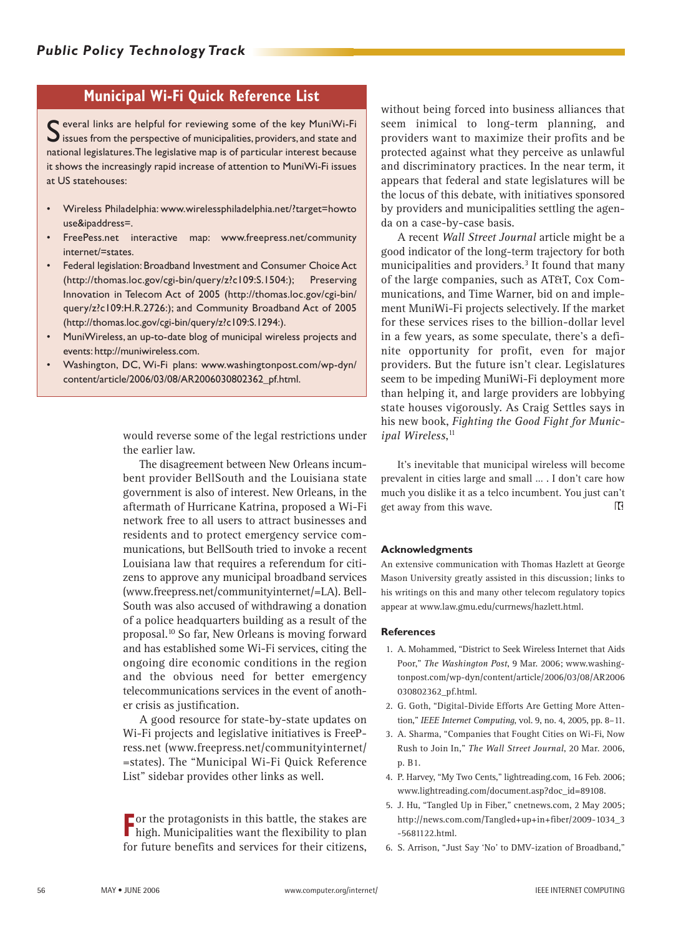# **Municipal Wi-Fi Quick Reference List**

S everal links are helpful for reviewing some of the key MuniWi-Fi<br>S issues from the perspective of municipalities, providers, and state and national legislatures.The legislative map is of particular interest because it shows the increasingly rapid increase of attention to MuniWi-Fi issues at US statehouses:

- Wireless Philadelphia: www.wirelessphiladelphia.net/?target=howto use&ipaddress=.
- FreePess.net interactive map: www.freepress.net/community internet/=states.
- Federal legislation: Broadband Investment and Consumer Choice Act (http://thomas.loc.gov/cgi-bin/query/z?c109:S.1504:); Preserving Innovation in Telecom Act of 2005 (http://thomas.loc.gov/cgi-bin/ query/z?c109:H.R.2726:); and Community Broadband Act of 2005 (http://thomas.loc.gov/cgi-bin/query/z?c109:S.1294:).
- MuniWireless, an up-to-date blog of municipal wireless projects and events: http://muniwireless.com.
- Washington, DC, Wi-Fi plans: www.washingtonpost.com/wp-dyn/ content/article/2006/03/08/AR2006030802362\_pf.html.

would reverse some of the legal restrictions under the earlier law.

The disagreement between New Orleans incumbent provider BellSouth and the Louisiana state government is also of interest. New Orleans, in the aftermath of Hurricane Katrina, proposed a Wi-Fi network free to all users to attract businesses and residents and to protect emergency service communications, but BellSouth tried to invoke a recent Louisiana law that requires a referendum for citizens to approve any municipal broadband services (www.freepress.net/communityinternet/=LA). Bell-South was also accused of withdrawing a donation of a police headquarters building as a result of the proposal.10 So far, New Orleans is moving forward and has established some Wi-Fi services, citing the ongoing dire economic conditions in the region and the obvious need for better emergency telecommunications services in the event of another crisis as justification.

A good resource for state-by-state updates on Wi-Fi projects and legislative initiatives is FreePress.net (www.freepress.net/communityinternet/ =states). The "Municipal Wi-Fi Quick Reference List" sidebar provides other links as well.

**For the protagonists in this battle, the stakes are high. Municipalities want the flexibility to plan** for future benefits and services for their citizens, without being forced into business alliances that seem inimical to long-term planning, and providers want to maximize their profits and be protected against what they perceive as unlawful and discriminatory practices. In the near term, it appears that federal and state legislatures will be the locus of this debate, with initiatives sponsored by providers and municipalities settling the agenda on a case-by-case basis.

A recent *Wall Street Journal* article might be a good indicator of the long-term trajectory for both municipalities and providers.<sup>3</sup> It found that many of the large companies, such as AT&T, Cox Communications, and Time Warner, bid on and implement MuniWi-Fi projects selectively. If the market for these services rises to the billion-dollar level in a few years, as some speculate, there's a definite opportunity for profit, even for major providers. But the future isn't clear. Legislatures seem to be impeding MuniWi-Fi deployment more than helping it, and large providers are lobbying state houses vigorously. As Craig Settles says in his new book, *Fighting the Good Fight for Municipal Wireless*, 11

It's inevitable that municipal wireless will become prevalent in cities large and small … . I don't care how much you dislike it as a telco incumbent. You just can't get away from this wave.  $\mathbb{F}$ 

#### **Acknowledgments**

An extensive communication with Thomas Hazlett at George Mason University greatly assisted in this discussion; links to his writings on this and many other telecom regulatory topics appear at www.law.gmu.edu/currnews/hazlett.html.

#### **References**

- 1. A. Mohammed, "District to Seek Wireless Internet that Aids Poor," *The Washington Post*, 9 Mar. 2006; www.washingtonpost.com/wp-dyn/content/article/2006/03/08/AR2006 030802362\_pf.html.
- 2. G. Goth, "Digital-Divide Efforts Are Getting More Attention," *IEEE Internet Computing*, vol. 9, no. 4, 2005, pp. 8–11.
- 3. A. Sharma, "Companies that Fought Cities on Wi-Fi, Now Rush to Join In," *The Wall Street Journal*, 20 Mar. 2006, p. B1.
- 4. P. Harvey, "My Two Cents," lightreading.com, 16 Feb. 2006; www.lightreading.com/document.asp?doc\_id=89108.
- 5. J. Hu, "Tangled Up in Fiber," cnetnews.com, 2 May 2005; http://news.com.com/Tangled+up+in+fiber/2009-1034\_3 -5681122.html.
- 6. S. Arrison, "Just Say 'No' to DMV-ization of Broadband,"